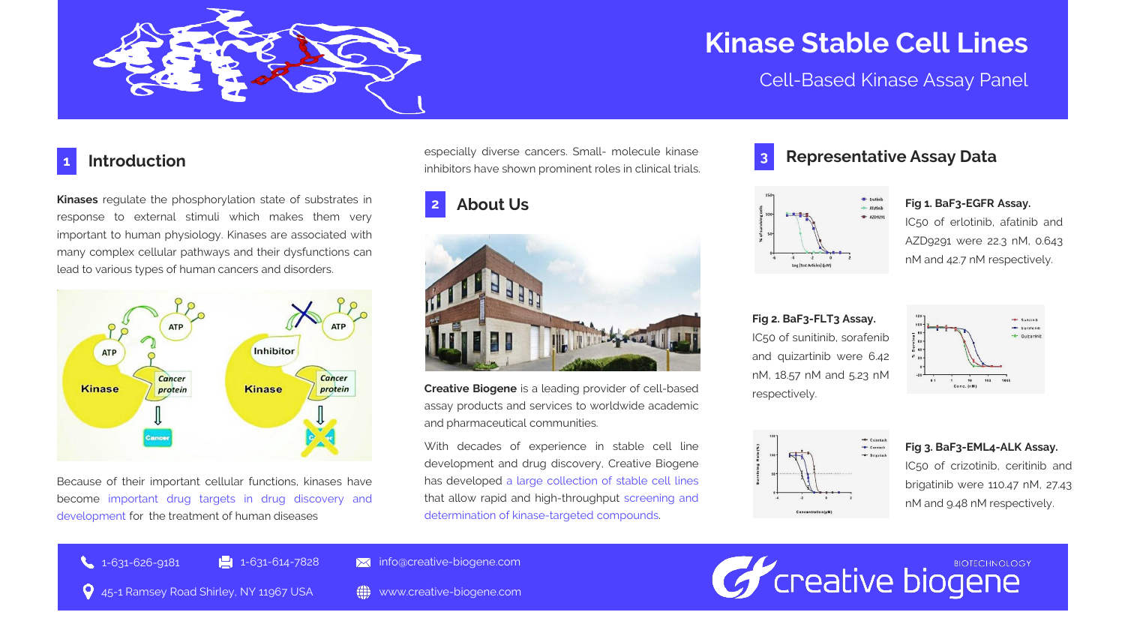

# **Kinase Stable Cell Lines**

Cell-Based Kinase Assay Panel

### **Introduction 1**

**Kinases** regulate the phosphorylation state of substrates in response to external stimuli which makes them very important to human physiology. Kinases are associated with many complex cellular pathways and their dysfunctions can lead to various types of human cancers and disorders.



Because of their important cellular functions, kinases have become important drug targets in drug discovery and development for the treatment of human diseases

especially diverse cancers. Small- molecule kinase inhibitors have shown prominent roles in clinical trials.

## **2**



**Creative Biogene** is a leading provider of cell-based assay products and services to worldwide academic and pharmaceutical communities.

With decades of experience in stable cell line development and drug discovery, Creative Biogene has developed a large collection of stable cell lines that allow rapid and high-throughput screening and determination of kinase-targeted compounds.



### **Representative Assay Data**



IC50 of erlotinib, afatinib and AZD9291 were 22.3 nM, 0.643 nM and 42.7 nM respectively.

**Fig 2. BaF3-FLT3 Assay.** IC50 of sunitinib, sorafenib and quizartinib were 6.42 nM, 18.57 nM and 5.23 nM respectively.



# Quizartinit

**Fig 3. BaF3-EML4-ALK Assay.** IC50 of crizotinib, ceritinib and brigatinib were 110.47 nM, 27.43 nM and 9.48 nM respectively.